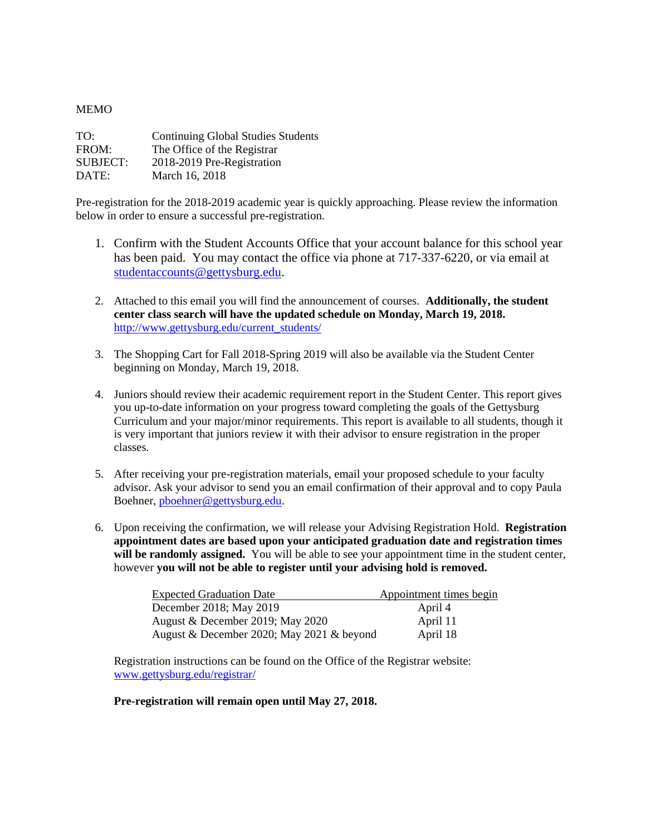## **MEMO**

| TO:             | <b>Continuing Global Studies Students</b> |
|-----------------|-------------------------------------------|
| FROM:           | The Office of the Registrar               |
| <b>SUBJECT:</b> | 2018-2019 Pre-Registration                |
| DATE:           | March 16, 2018                            |

Pre-registration for the 2018-2019 academic year is quickly approaching. Please review the information below in order to ensure a successful pre-registration.

- 1. Confirm with the Student Accounts Office that your account balance for this school year has been paid. You may contact the office via phone at 717-337-6220, or via email at [studentaccounts@gettysburg.edu.](mailto:studentaccounts@gettysburg.edu)
- 2. Attached to this email you will find the announcement of courses. **Additionally, the student center class search will have the updated schedule on Monday, March 19, 2018.** [http://www.gettysburg.edu/current\\_students/](http://www.gettysburg.edu/current_students/)
- 3. The Shopping Cart for Fall 2018-Spring 2019 will also be available via the Student Center beginning on Monday, March 19, 2018.
- 4. Juniors should review their academic requirement report in the Student Center. This report gives you up-to-date information on your progress toward completing the goals of the Gettysburg Curriculum and your major/minor requirements. This report is available to all students, though it is very important that juniors review it with their advisor to ensure registration in the proper classes.
- 5. After receiving your pre-registration materials, email your proposed schedule to your faculty advisor. Ask your advisor to send you an email confirmation of their approval and to copy Paula Boehner, [pboehner@gettysburg.edu.](mailto:pboehner@gettysburg.edu)
- 6. Upon receiving the confirmation, we will release your Advising Registration Hold. **Registration appointment dates are based upon your anticipated graduation date and registration times will be randomly assigned.** You will be able to see your appointment time in the student center, however **you will not be able to register until your advising hold is removed.**

| <b>Expected Graduation Date</b>           | Appointment times begin |
|-------------------------------------------|-------------------------|
| December 2018; May 2019                   | April 4                 |
| August & December 2019; May 2020          | April 11                |
| August & December 2020; May 2021 & beyond | April 18                |

Registration instructions can be found on the Office of the Registrar website: [www.gettysburg.edu/registrar/](http://www.gettysburg.edu/registrar/)

## **Pre-registration will remain open until May 27, 2018.**